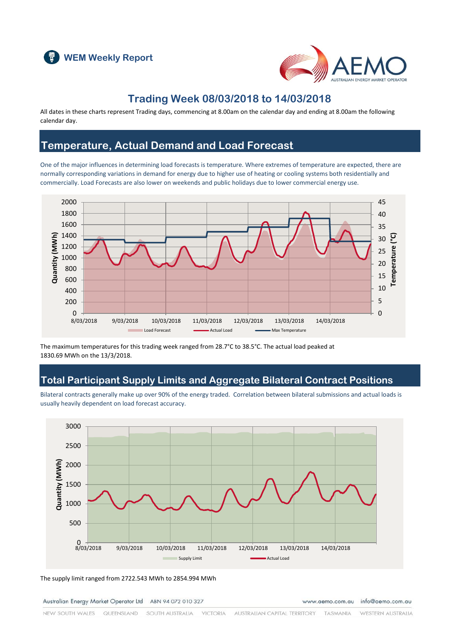



#### **Trading Week 08/03/2018 to 14/03/2018**

All dates in these charts represent Trading days, commencing at 8.00am on the calendar day and ending at 8.00am the following calendar day.

### **Temperature, Actual Demand and Load Forecast**

One of the major influences in determining load forecasts is temperature. Where extremes of temperature are expected, there are normally corresponding variations in demand for energy due to higher use of heating or cooling systems both residentially and commercially. Load Forecasts are also lower on weekends and public holidays due to lower commercial energy use.



The maximum temperatures for this trading week ranged from 28.7°C to 38.5°C. The actual load peaked at 1830.69 MWh on the 13/3/2018.

### **Total Participant Supply Limits and Aggregate Bilateral Contract Positions**

Bilateral contracts generally make up over 90% of the energy traded. Correlation between bilateral submissions and actual loads is usually heavily dependent on load forecast accuracy.



The supply limit ranged from 2722.543 MWh to 2854.994 MWh

Australian Energy Market Operator Ltd ABN 94 072 010 327

www.aemo.com.au info@aemo.com.au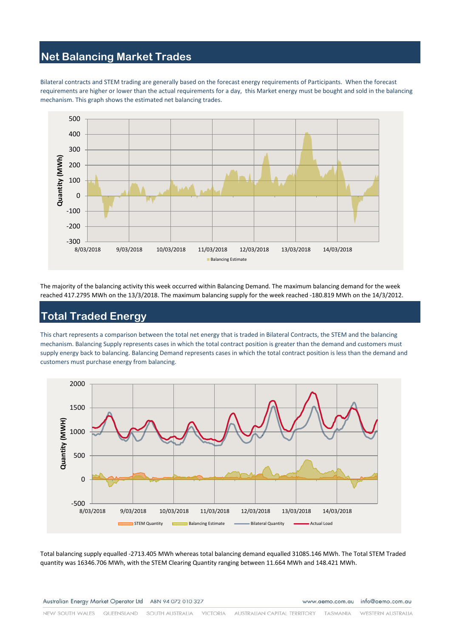# **Net Balancing Market Trades**

Bilateral contracts and STEM trading are generally based on the forecast energy requirements of Participants. When the forecast requirements are higher or lower than the actual requirements for a day, this Market energy must be bought and sold in the balancing mechanism. This graph shows the estimated net balancing trades.



The majority of the balancing activity this week occurred within Balancing Demand. The maximum balancing demand for the week reached 417.2795 MWh on the 13/3/2018. The maximum balancing supply for the week reached -180.819 MWh on the 14/3/2012.

# **Total Traded Energy**

This chart represents a comparison between the total net energy that is traded in Bilateral Contracts, the STEM and the balancing mechanism. Balancing Supply represents cases in which the total contract position is greater than the demand and customers must supply energy back to balancing. Balancing Demand represents cases in which the total contract position is less than the demand and customers must purchase energy from balancing.



Total balancing supply equalled -2713.405 MWh whereas total balancing demand equalled 31085.146 MWh. The Total STEM Traded quantity was 16346.706 MWh, with the STEM Clearing Quantity ranging between 11.664 MWh and 148.421 MWh.

Australian Energy Market Operator Ltd ABN 94 072 010 327

www.aemo.com.au info@aemo.com.au